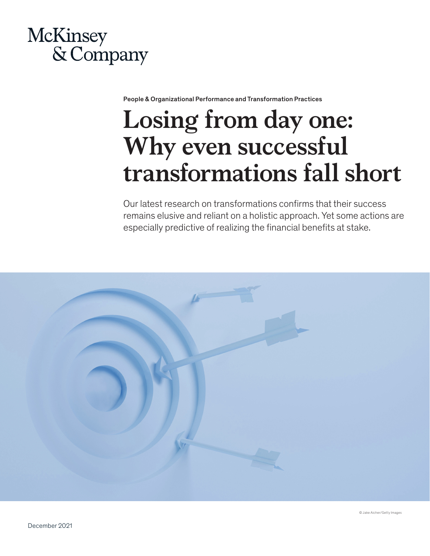# McKinsey & Company

People & Organizational Performance and Transformation Practices

# **Losing from day one: Why even successful transformations fall short**

Our latest research on transformations confirms that their success remains elusive and reliant on a holistic approach. Yet some actions are especially predictive of realizing the financial benefits at stake.

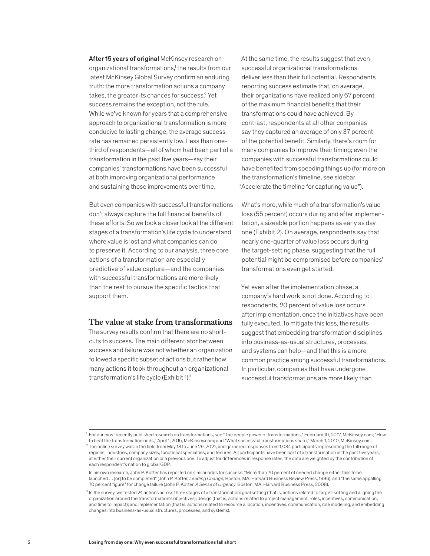After 15 years of original McKinsey research on organizational transformations,<sup>1</sup> the results from our latest McKinsey Global Survey confirm an enduring truth: the more transformation actions a company takes, the greater its chances for success.<sup>2</sup> Yet success remains the exception, not the rule. While we've known for years that a comprehensive approach to organizational transformation is more conducive to lasting change, the average success rate has remained persistently low. Less than onethird of respondents—all of whom had been part of a transformation in the past five years—say their companies' transformations have been successful at both improving organizational performance and sustaining those improvements over time.

But even companies with successful transformations don't always capture the full financial benefits of these efforts. So we took a closer look at the different stages of a transformation's life cycle to understand where value is lost and what companies can do to preserve it. According to our analysis, three core actions of a transformation are especially predictive of value capture—and the companies with successful transformations are more likely than the rest to pursue the specific tactics that support them.

#### **The value at stake from transformations**

The survey results confirm that there are no shortcuts to success. The main differentiator between success and failure was not whether an organization followed a specific subset of actions but rather how many actions it took throughout an organizational transformation's life cycle (Exhibit 1).3

At the same time, the results suggest that even successful organizational transformations deliver less than their full potential. Respondents reporting success estimate that, on average, their organizations have realized only 67 percent of the maximum financial benefits that their transformations could have achieved. By contrast, respondents at all other companies say they captured an average of only 37 percent of the potential benefit. Similarly, there's room for many companies to improve their timing; even the companies with successful transformations could have benefited from speeding things up (for more on the transformation's timeline, see sidebar "Accelerate the timeline for capturing value").

What's more, while much of a transformation's value loss (55 percent) occurs during and after implementation, a sizeable portion happens as early as day one (Exhibit 2). On average, respondents say that nearly one-quarter of value loss occurs during the target-setting phase, suggesting that the full potential might be compromised before companies' transformations even get started.

Yet even after the implementation phase, a company's hard work is not done. According to respondents, 20 percent of value loss occurs after implementation, once the initiatives have been fully executed. To mitigate this loss, the results suggest that embedding transformation disciplines into business-as-usual structures, processes, and systems can help—and that this is a more common practice among successful transformations. In particular, companies that have undergone successful transformations are more likely than

<sup>1</sup> For our most recently published research on transformations, see "The people power of transformations," February 10, 2017, McKinsey.com; "How to beat the transformation odds," April 1, 2015, McKinsey.com; and "What successful transformations share," March 1, 2010, McKinsey.com.

 $^2$  The online survey was in the field from May 18 to June 29, 2021, and garnered responses from 1,034 participants representing the full range of regions, industries, company sizes, functional specialties, and tenures. All participants have been part of a transformation in the past five years, at either their current organization or a previous one. To adjust for differences in response rates, the data are weighted by the contribution of each respondent's nation to global GDP.

In his own research, John P. Kotter has reported on similar odds for success: "More than 70 percent of needed change either fails to be launched … [or] to be completed" (John P. Kotter, *Leading Change*, Boston, MA: Harvard Business Review Press, 1996); and "the same appalling 70 percent figure" for change failure (John P. Kotter, *A Sense of Urgency*, Boston, MA: Harvard Business Press, 2008).

<sup>&</sup>lt;sup>3</sup> In the survey, we tested 24 actions across three stages of a transformation: goal setting (that is, actions related to target-setting and aligning the organization around the transformation's objectives); design (that is, actions related to project management, roles, incentives, communication, and time to impact); and implementation (that is, actions related to resource allocation, incentives, communication, role modeling, and embedding changes into business-as-usual structures, processes, and systems).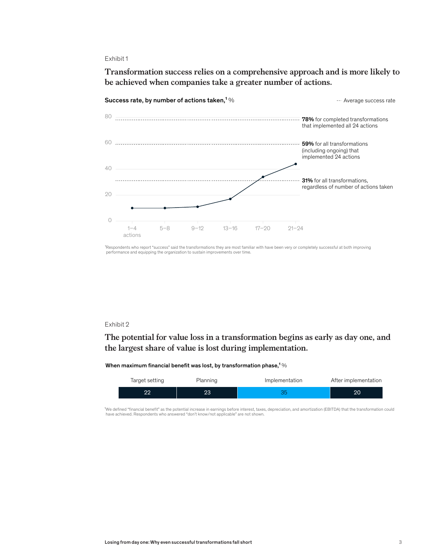### Exhibit 1

Transformation success relies on a comprehensive approach and is more likely **Transformation success relies on a comprehensive approach and is more likely to**  be achieved when companies take a greater number of actions.



1Respondents who report "success" said the transformations they are most familiar with have been very or completely successful at both improving performance and equipping the organization to sustain improvements over time.

### Exhibit 2

# The potential for value loss in a transformation begins as early as day one, and **The potential for value loss in a transformation begins as early as day one, and**  the largest share of value is lost during implementation. **the largest share of value is lost during implementation.**

#### When maximum financial benefit was lost, by transformation phase,<sup>1</sup>%

| Target setting | Planning | Implementation | After implementation |
|----------------|----------|----------------|----------------------|
| იი             |          |                |                      |

"We defined "financial benefit" as the potential increase in earnings before interest, taxes, depreciation, and amortization (EBITDA) that the transformation could<br>have achieved. Respondents who answered "don't know/not ap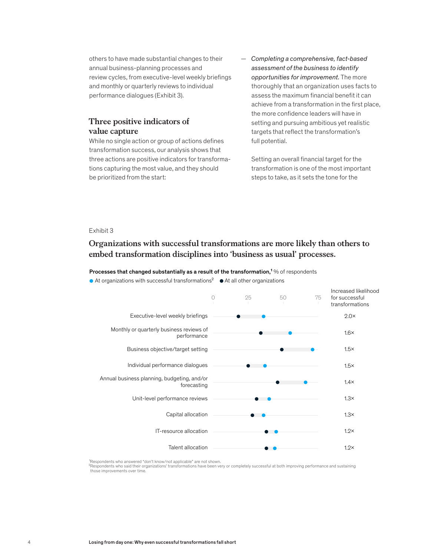others to have made substantial changes to their annual business-planning processes and review cycles, from executive-level weekly briefings and monthly or quarterly reviews to individual performance dialogues (Exhibit 3).

# **Three positive indicators of value capture**

While no single action or group of actions defines transformation success, our analysis shows that three actions are positive indicators for transformations capturing the most value, and they should be prioritized from the start:

— *Completing a comprehensive, fact-based assessment of the business to identify opportunities for improvement.* The more thoroughly that an organization uses facts to assess the maximum financial benefit it can achieve from a transformation in the first place, the more confidence leaders will have in setting and pursuing ambitious yet realistic targets that reflect the transformation's full potential.

Setting an overall financial target for the transformation is one of the most important steps to take, as it sets the tone for the

#### Exhibit 3

# Organizations with successful transformations are more likely than others **Organizations with successful transformations are more likely than others to**  to embed transformation disciplines into 'business as usual' processes. **embed transformation disciplines into 'business as usual' processes.**

Processes that changed substantially as a result of the transformation,<sup>1</sup> % of respondents

 $\bullet$  At organizations with successful transformations<sup>2</sup>  $\bullet$  At all other organizations



<sup>1</sup>Respondents who answered "don't know/not applicable" are not shown.

²Respondents who said their organizations' transformations have been very or completely successful at both improving performance and sustaining those improvements over time.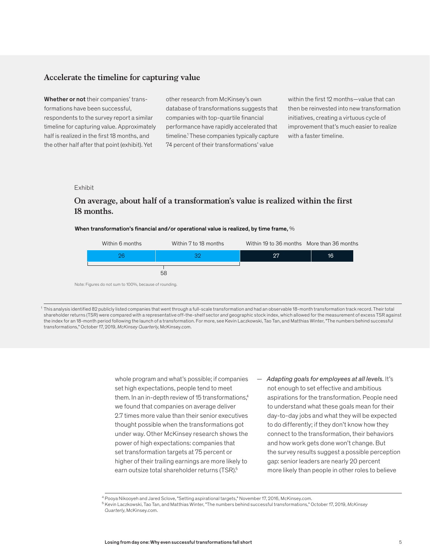# **Accelerate the timeline for capturing value**

Whether or not their companies' transformations have been successful, respondents to the survey report a similar timeline for capturing value. Approximately half is realized in the first 18 months, and the other half after that point (exhibit). Yet

other research from McKinsey's own database of transformations suggests that companies with top-quartile financial performance have rapidly accelerated that timeline.1 These companies typically capture 74 percent of their transformations' value

within the first 12 months—value that can then be reinvested into new transformation initiatives, creating a virtuous cycle of improvement that's much easier to realize with a faster timeline.

#### Exhibit

# On average, about half of a transformation's value is realized within the **On average, about half of a transformation's value is realized within the first**  18 months.

#### When transformation's financial and/or operational value is realized, by time frame,  $\%$



Note: Figures do not sum to 100%, because of rounding.

<sup>1</sup> This analysis identified 82 publicly listed companies that went through a full-scale transformation and had an observable 18-month transformation track record. Their total shareholder returns (TSR) were compared with a representative off-the-shelf sector *and* geographic stock index, which allowed for the measurement of excess TSR against the index for an 18-month period following the launch of a transformation. For more, see Kevin Laczkowski, Tao Tan, and Matthias Winter, "The numbers behind successful transformations," October 17, 2019, *McKinsey Quarterly*, McKinsey.com.

> whole program and what's possible; if companies set high expectations, people tend to meet them. In an in-depth review of 15 transformations,<sup>4</sup> we found that companies on average deliver 2.7 times more value than their senior executives thought possible when the transformations got under way. Other McKinsey research shows the power of high expectations: companies that set transformation targets at 75 percent or higher of their trailing earnings are more likely to earn outsize total shareholder returns (TSR).<sup>5</sup>

— *Adapting goals for employees at all levels.* It's not enough to set effective and ambitious aspirations for the transformation. People need to understand what these goals mean for their day-to-day jobs and what they will be expected to do differently; if they don't know how they connect to the transformation, their behaviors and how work gets done won't change. But the survey results suggest a possible perception gap: senior leaders are nearly 20 percent more likely than people in other roles to believe

<sup>4</sup> Pooya Nikooyeh and Jared Sclove, "Setting aspirational targets," November 17, 2016, McKinsey.com.

<sup>5</sup> Kevin Laczkowski, Tao Tan, and Matthias Winter, "The numbers behind successful transformations," October 17, 2019, *McKinsey Quarterly*, McKinsey.com.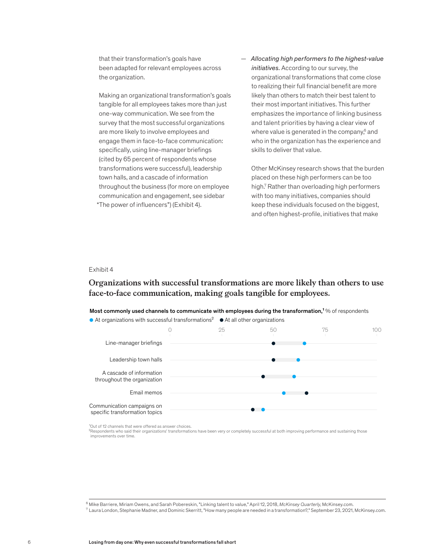that their transformation's goals have been adapted for relevant employees across the organization.

Making an organizational transformation's goals tangible for all employees takes more than just one-way communication. We see from the survey that the most successful organizations are more likely to involve employees and engage them in face-to-face communication: specifically, using line-manager briefings (cited by 65 percent of respondents whose transformations were successful), leadership town halls, and a cascade of information throughout the business (for more on employee communication and engagement, see sidebar "The power of influencers") (Exhibit 4).

— *Allocating high performers to the highest-value initiatives.* According to our survey, the organizational transformations that come close to realizing their full financial benefit are more likely than others to match their best talent to their most important initiatives. This further emphasizes the importance of linking business and talent priorities by having a clear view of where value is generated in the company,<sup>6</sup> and who in the organization has the experience and skills to deliver that value.

Other McKinsey research shows that the burden placed on these high performers can be too high.7 Rather than overloading high performers with too many initiatives, companies should keep these individuals focused on the biggest, and often highest-profile, initiatives that make

#### Exhibit 4

# Organizations with successful transformations are more likely than others **Organizations with successful transformations are more likely than others to use**  face-to-face communication, making goals tangible for employees.

Most commonly used channels to communicate with employees during the transformation,<sup>1</sup> % of respondents





<sup>1</sup>Out of 12 channels that were offered as answer choices.

<sup>2</sup>Respondents who said their organizations' transformations have been very or completely successful at both improving performance and sustaining those improvements over time.

<sup>6</sup> Mike Barriere, Miriam Owens, and Sarah Pobereskin, "Linking talent to value," April 12, 2018, *McKinsey Quarterly*, McKinsey.com.

 $^7$  Laura London, Stephanie Madner, and Dominic Skerritt, "How many people are needed in a transformation?," September 23, 2021, McKinsey.com.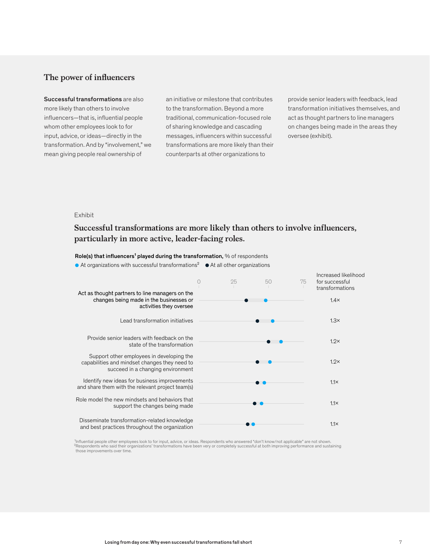# **The power of influencers**

Successful transformations are also more likely than others to involve influencers—that is, influential people whom other employees look to for input, advice, or ideas—directly in the transformation. And by "involvement," we mean giving people real ownership of

an initiative or milestone that contributes to the transformation. Beyond a more traditional, communication-focused role of sharing knowledge and cascading messages, influencers within successful transformations are more likely than their counterparts at other organizations to

provide senior leaders with feedback, lead transformation initiatives themselves, and act as thought partners to line managers on changes being made in the areas they oversee (exhibit).

#### Exhibit

# Successful transformations are more likely than others to involve influencers, particularly in more active, leader-facing roles. **particularly in more active, leader-facing roles.**

Role(s) that influencers<sup>1</sup> played during the transformation,  $%$  of respondents

At organizations with successful transformations<sup>2</sup>  $\bullet$  At all other organizations

|                                                                                                                                 | 25 | 50 | 75 | Increased likelihood<br>for successful<br>transformations |
|---------------------------------------------------------------------------------------------------------------------------------|----|----|----|-----------------------------------------------------------|
| Act as thought partners to line managers on the<br>changes being made in the businesses or<br>activities they oversee           |    |    |    | $1.4\times$                                               |
| Lead transformation initiatives                                                                                                 |    |    |    | $1.3\times$                                               |
| Provide senior leaders with feedback on the<br>state of the transformation                                                      |    |    |    | $1.2\times$                                               |
| Support other employees in developing the<br>capabilities and mindset changes they need to<br>succeed in a changing environment |    |    |    | $1.2\times$                                               |
| Identify new ideas for business improvements<br>and share them with the relevant project team(s)                                |    |    |    | $1.1\times$                                               |
| Role model the new mindsets and behaviors that<br>support the changes being made                                                |    |    |    | $1.1\times$                                               |
| Disseminate transformation-related knowledge<br>and best practices throughout the organization                                  |    |    |    | $1.1 \times$                                              |

<sup>1</sup>Influential people other employees look to for input, advice, or ideas. Respondents who answered "don't know/not applicable" are not shown. ²Respondents who said their organizations' transformations have been very or completely successful at both improving performance and sustaining those improvements over time.